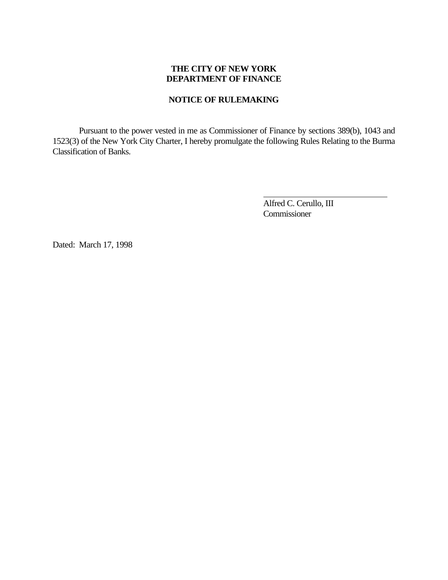## **THE CITY OF NEW YORK DEPARTMENT OF FINANCE**

#### **NOTICE OF RULEMAKING**

Pursuant to the power vested in me as Commissioner of Finance by sections 389(b), 1043 and 1523(3) of the New York City Charter, I hereby promulgate the following Rules Relating to the Burma Classification of Banks.

> Alfred C. Cerullo, III Commissioner

 $\overline{a}$ 

Dated: March 17, 1998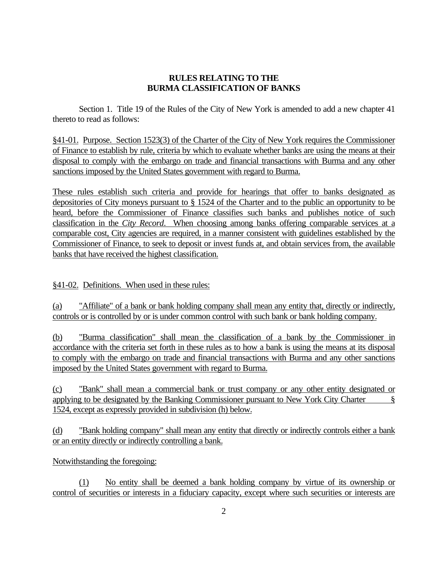#### **RULES RELATING TO THE BURMA CLASSIFICATION OF BANKS**

Section 1. Title 19 of the Rules of the City of New York is amended to add a new chapter 41 thereto to read as follows:

§41-01. Purpose. Section 1523(3) of the Charter of the City of New York requires the Commissioner of Finance to establish by rule, criteria by which to evaluate whether banks are using the means at their disposal to comply with the embargo on trade and financial transactions with Burma and any other sanctions imposed by the United States government with regard to Burma.

These rules establish such criteria and provide for hearings that offer to banks designated as depositories of City moneys pursuant to § 1524 of the Charter and to the public an opportunity to be heard, before the Commissioner of Finance classifies such banks and publishes notice of such classification in the *City Record*. When choosing among banks offering comparable services at a comparable cost, City agencies are required, in a manner consistent with guidelines established by the Commissioner of Finance, to seek to deposit or invest funds at, and obtain services from, the available banks that have received the highest classification.

§41-02. Definitions. When used in these rules:

(a) "Affiliate" of a bank or bank holding company shall mean any entity that, directly or indirectly, controls or is controlled by or is under common control with such bank or bank holding company.

(b) "Burma classification" shall mean the classification of a bank by the Commissioner in accordance with the criteria set forth in these rules as to how a bank is using the means at its disposal to comply with the embargo on trade and financial transactions with Burma and any other sanctions imposed by the United States government with regard to Burma.

(c) "Bank" shall mean a commercial bank or trust company or any other entity designated or applying to be designated by the Banking Commissioner pursuant to New York City Charter § 1524, except as expressly provided in subdivision (h) below.

(d) "Bank holding company" shall mean any entity that directly or indirectly controls either a bank or an entity directly or indirectly controlling a bank.

# Notwithstanding the foregoing:

(1) No entity shall be deemed a bank holding company by virtue of its ownership or control of securities or interests in a fiduciary capacity, except where such securities or interests are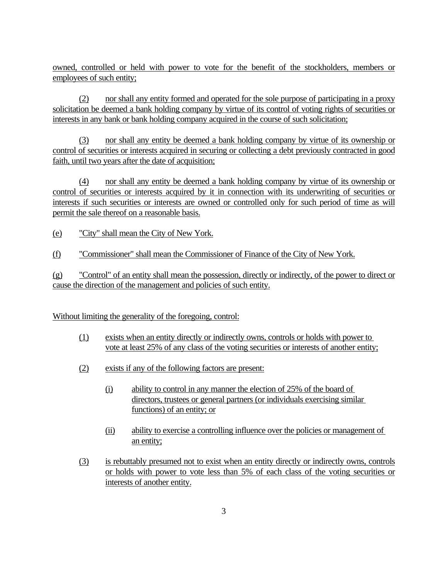owned, controlled or held with power to vote for the benefit of the stockholders, members or employees of such entity;

(2) nor shall any entity formed and operated for the sole purpose of participating in a proxy solicitation be deemed a bank holding company by virtue of its control of voting rights of securities or interests in any bank or bank holding company acquired in the course of such solicitation;

(3) nor shall any entity be deemed a bank holding company by virtue of its ownership or control of securities or interests acquired in securing or collecting a debt previously contracted in good faith, until two years after the date of acquisition;

(4) nor shall any entity be deemed a bank holding company by virtue of its ownership or control of securities or interests acquired by it in connection with its underwriting of securities or interests if such securities or interests are owned or controlled only for such period of time as will permit the sale thereof on a reasonable basis.

(e) "City" shall mean the City of New York.

(f) "Commissioner" shall mean the Commissioner of Finance of the City of New York.

(g) "Control" of an entity shall mean the possession, directly or indirectly, of the power to direct or cause the direction of the management and policies of such entity.

# Without limiting the generality of the foregoing, control:

- (1) exists when an entity directly or indirectly owns, controls or holds with power to vote at least 25% of any class of the voting securities or interests of another entity;
- (2) exists if any of the following factors are present:
	- (i) ability to control in any manner the election of 25% of the board of directors, trustees or general partners (or individuals exercising similar functions) of an entity; or
	- (ii) ability to exercise a controlling influence over the policies or management of an entity;
- (3) is rebuttably presumed not to exist when an entity directly or indirectly owns, controls or holds with power to vote less than 5% of each class of the voting securities or interests of another entity.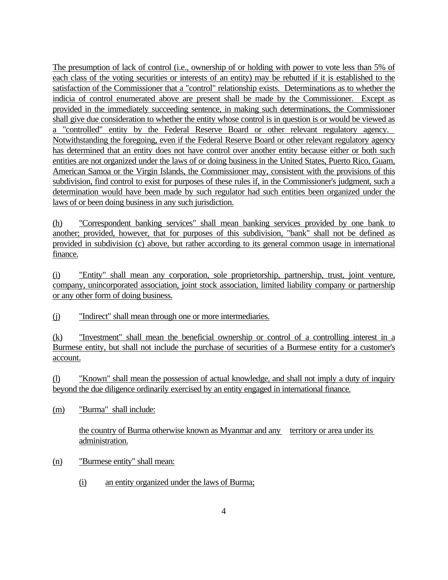The presumption of lack of control (i.e., ownership of or holding with power to vote less than 5% of each class of the voting securities or interests of an entity) may be rebutted if it is established to the satisfaction of the Commissioner that a "control" relationship exists. Determinations as to whether the indicia of control enumerated above are present shall be made by the Commissioner. Except as provided in the immediately succeeding sentence, in making such determinations, the Commissioner shall give due consideration to whether the entity whose control is in question is or would be viewed as a "controlled" entity by the Federal Reserve Board or other relevant regulatory agency. Notwithstanding the foregoing, even if the Federal Reserve Board or other relevant regulatory agency has determined that an entity does not have control over another entity because either or both such entities are not organized under the laws of or doing business in the United States, Puerto Rico, Guam, American Samoa or the Virgin Islands, the Commissioner may, consistent with the provisions of this subdivision, find control to exist for purposes of these rules if, in the Commissioner's judgment, such a determination would have been made by such regulator had such entities been organized under the laws of or been doing business in any such jurisdiction.

(h) "Correspondent banking services" shall mean banking services provided by one bank to another; provided, however, that for purposes of this subdivision, "bank" shall not be defined as provided in subdivision (c) above, but rather according to its general common usage in international finance.

(i) "Entity" shall mean any corporation, sole proprietorship, partnership, trust, joint venture, company, unincorporated association, joint stock association, limited liability company or partnership or any other form of doing business.

(j) "Indirect" shall mean through one or more intermediaries.

(k) "Investment" shall mean the beneficial ownership or control of a controlling interest in a Burmese entity, but shall not include the purchase of securities of a Burmese entity for a customer's account.

(l) "Known" shall mean the possession of actual knowledge, and shall not imply a duty of inquiry beyond the due diligence ordinarily exercised by an entity engaged in international finance.

(m) "Burma" shall include:

the country of Burma otherwise known as Myanmar and any territory or area under its administration.

- (n) "Burmese entity" shall mean:
	- (i) an entity organized under the laws of Burma;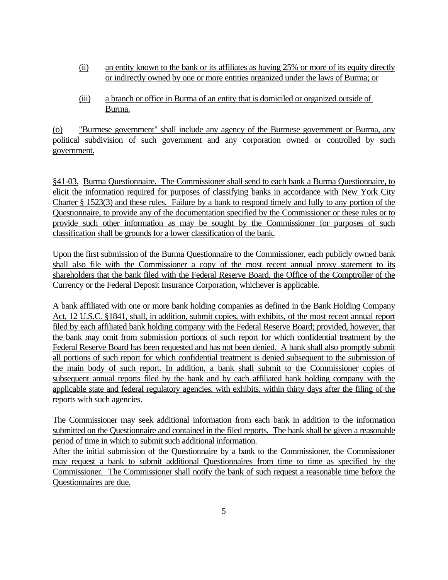- (ii) an entity known to the bank or its affiliates as having 25% or more of its equity directly or indirectly owned by one or more entities organized under the laws of Burma; or
- (iii) a branch or office in Burma of an entity that is domiciled or organized outside of Burma.

(o) "Burmese government" shall include any agency of the Burmese government or Burma, any political subdivision of such government and any corporation owned or controlled by such government.

§41-03. Burma Questionnaire. The Commissioner shall send to each bank a Burma Questionnaire, to elicit the information required for purposes of classifying banks in accordance with New York City Charter § 1523(3) and these rules. Failure by a bank to respond timely and fully to any portion of the Questionnaire, to provide any of the documentation specified by the Commissioner or these rules or to provide such other information as may be sought by the Commissioner for purposes of such classification shall be grounds for a lower classification of the bank.

Upon the first submission of the Burma Questionnaire to the Commissioner, each publicly owned bank shall also file with the Commissioner a copy of the most recent annual proxy statement to its shareholders that the bank filed with the Federal Reserve Board, the Office of the Comptroller of the Currency or the Federal Deposit Insurance Corporation, whichever is applicable.

A bank affiliated with one or more bank holding companies as defined in the Bank Holding Company Act, 12 U.S.C. §1841, shall, in addition, submit copies, with exhibits, of the most recent annual report filed by each affiliated bank holding company with the Federal Reserve Board; provided, however, that the bank may omit from submission portions of such report for which confidential treatment by the Federal Reserve Board has been requested and has not been denied. A bank shall also promptly submit all portions of such report for which confidential treatment is denied subsequent to the submission of the main body of such report. In addition, a bank shall submit to the Commissioner copies of subsequent annual reports filed by the bank and by each affiliated bank holding company with the applicable state and federal regulatory agencies, with exhibits, within thirty days after the filing of the reports with such agencies.

The Commissioner may seek additional information from each bank in addition to the information submitted on the Questionnaire and contained in the filed reports. The bank shall be given a reasonable period of time in which to submit such additional information.

After the initial submission of the Questionnaire by a bank to the Commissioner, the Commissioner may request a bank to submit additional Questionnaires from time to time as specified by the Commissioner. The Commissioner shall notify the bank of such request a reasonable time before the Questionnaires are due.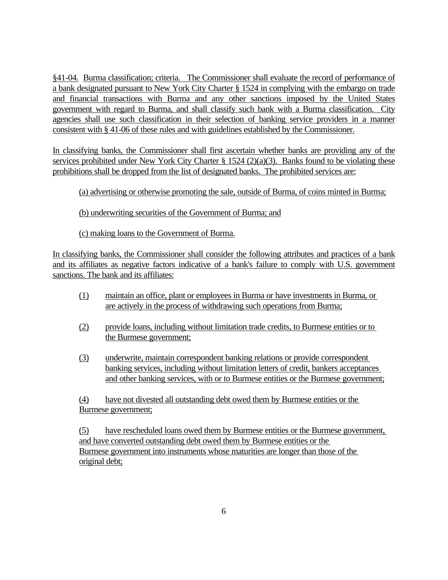§41-04. Burma classification; criteria. The Commissioner shall evaluate the record of performance of a bank designated pursuant to New York City Charter § 1524 in complying with the embargo on trade and financial transactions with Burma and any other sanctions imposed by the United States government with regard to Burma, and shall classify such bank with a Burma classification. City agencies shall use such classification in their selection of banking service providers in a manner consistent with § 41-06 of these rules and with guidelines established by the Commissioner.

In classifying banks, the Commissioner shall first ascertain whether banks are providing any of the services prohibited under New York City Charter § 1524 (2)(a)(3). Banks found to be violating these prohibitions shall be dropped from the list of designated banks. The prohibited services are:

(a) advertising or otherwise promoting the sale, outside of Burma, of coins minted in Burma;

(b) underwriting securities of the Government of Burma; and

(c) making loans to the Government of Burma.

In classifying banks, the Commissioner shall consider the following attributes and practices of a bank and its affiliates as negative factors indicative of a bank's failure to comply with U.S. government sanctions. The bank and its affiliates:

- (1) maintain an office, plant or employees in Burma or have investments in Burma, or are actively in the process of withdrawing such operations from Burma;
- (2) provide loans, including without limitation trade credits, to Burmese entities or to the Burmese government;
- (3) underwrite, maintain correspondent banking relations or provide correspondent banking services, including without limitation letters of credit, bankers acceptances and other banking services, with or to Burmese entities or the Burmese government;

(4) have not divested all outstanding debt owed them by Burmese entities or the Burmese government;

(5) have rescheduled loans owed them by Burmese entities or the Burmese government, and have converted outstanding debt owed them by Burmese entities or the Burmese government into instruments whose maturities are longer than those of the original debt;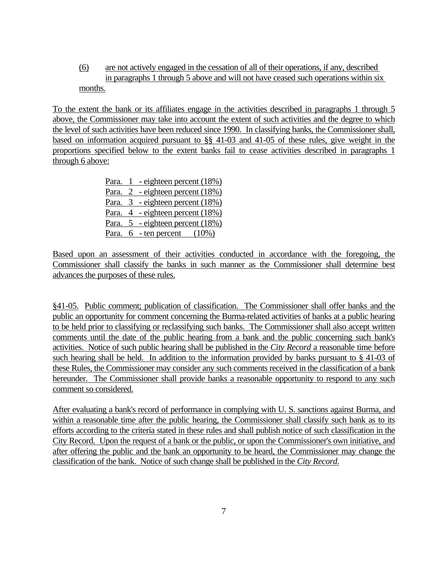(6) are not actively engaged in the cessation of all of their operations, if any, described in paragraphs 1 through 5 above and will not have ceased such operations within six months.

To the extent the bank or its affiliates engage in the activities described in paragraphs 1 through 5 above, the Commissioner may take into account the extent of such activities and the degree to which the level of such activities have been reduced since 1990. In classifying banks, the Commissioner shall, based on information acquired pursuant to §§ 41-03 and 41-05 of these rules, give weight in the proportions specified below to the extent banks fail to cease activities described in paragraphs 1 through 6 above:

> Para. 1 - eighteen percent (18%) Para. 2 - eighteen percent (18%) Para. 3 - eighteen percent (18%) Para. 4 - eighteen percent (18%) Para. 5 - eighteen percent (18%) Para.  $6$  - ten percent  $(10\%)$

Based upon an assessment of their activities conducted in accordance with the foregoing, the Commissioner shall classify the banks in such manner as the Commissioner shall determine best advances the purposes of these rules.

§41-05. Public comment; publication of classification. The Commissioner shall offer banks and the public an opportunity for comment concerning the Burma-related activities of banks at a public hearing to be held prior to classifying or reclassifying such banks. The Commissioner shall also accept written comments until the date of the public hearing from a bank and the public concerning such bank's activities. Notice of such public hearing shall be published in the *City Record* a reasonable time before such hearing shall be held. In addition to the information provided by banks pursuant to § 41-03 of these Rules, the Commissioner may consider any such comments received in the classification of a bank hereunder. The Commissioner shall provide banks a reasonable opportunity to respond to any such comment so considered.

After evaluating a bank's record of performance in complying with U. S. sanctions against Burma, and within a reasonable time after the public hearing, the Commissioner shall classify such bank as to its efforts according to the criteria stated in these rules and shall publish notice of such classification in the City Record. Upon the request of a bank or the public, or upon the Commissioner's own initiative, and after offering the public and the bank an opportunity to be heard, the Commissioner may change the classification of the bank. Notice of such change shall be published in the *City Record*.